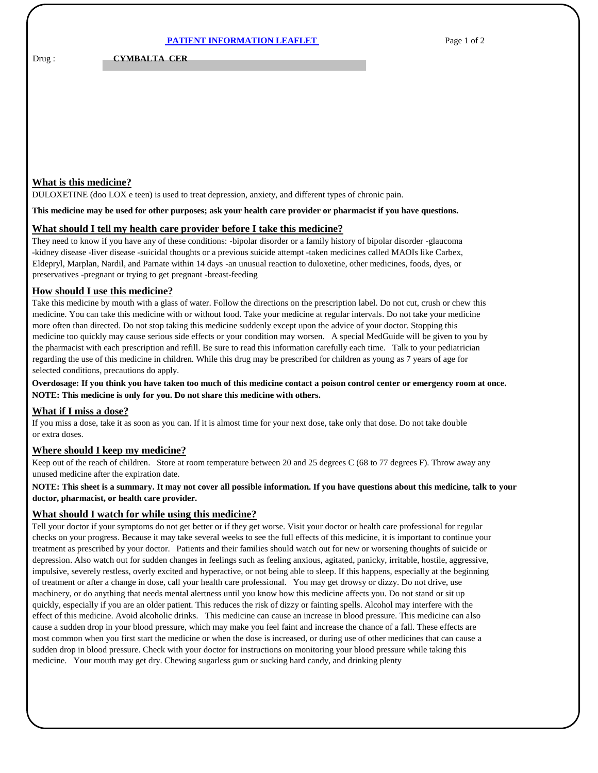|--|

Drug : **CYMBALTA CER** 

# **What is this medicine?**

DULOXETINE (doo LOX e teen) is used to treat depression, anxiety, and different types of chronic pain.

#### **This medicine may be used for other purposes; ask your health care provider or pharmacist if you have questions.**

### **What should I tell my health care provider before I take this medicine?**

They need to know if you have any of these conditions: -bipolar disorder or a family history of bipolar disorder -glaucoma -kidney disease -liver disease -suicidal thoughts or a previous suicide attempt -taken medicines called MAOIs like Carbex, Eldepryl, Marplan, Nardil, and Parnate within 14 days -an unusual reaction to duloxetine, other medicines, foods, dyes, or preservatives -pregnant or trying to get pregnant -breast-feeding

### **How should I use this medicine?**

Take this medicine by mouth with a glass of water. Follow the directions on the prescription label. Do not cut, crush or chew this medicine. You can take this medicine with or without food. Take your medicine at regular intervals. Do not take your medicine more often than directed. Do not stop taking this medicine suddenly except upon the advice of your doctor. Stopping this medicine too quickly may cause serious side effects or your condition may worsen. A special MedGuide will be given to you by the pharmacist with each prescription and refill. Be sure to read this information carefully each time. Talk to your pediatrician regarding the use of this medicine in children. While this drug may be prescribed for children as young as 7 years of age for selected conditions, precautions do apply.

### **Overdosage: If you think you have taken too much of this medicine contact a poison control center or emergency room at once. NOTE: This medicine is only for you. Do not share this medicine with others.**

## **What if I miss a dose?**

If you miss a dose, take it as soon as you can. If it is almost time for your next dose, take only that dose. Do not take double or extra doses.

### **Where should I keep my medicine?**

Keep out of the reach of children. Store at room temperature between 20 and 25 degrees C (68 to 77 degrees F). Throw away any unused medicine after the expiration date.

### **NOTE: This sheet is a summary. It may not cover all possible information. If you have questions about this medicine, talk to your doctor, pharmacist, or health care provider.**

### **What should I watch for while using this medicine?**

Tell your doctor if your symptoms do not get better or if they get worse. Visit your doctor or health care professional for regular checks on your progress. Because it may take several weeks to see the full effects of this medicine, it is important to continue your treatment as prescribed by your doctor. Patients and their families should watch out for new or worsening thoughts of suicide or depression. Also watch out for sudden changes in feelings such as feeling anxious, agitated, panicky, irritable, hostile, aggressive, impulsive, severely restless, overly excited and hyperactive, or not being able to sleep. If this happens, especially at the beginning of treatment or after a change in dose, call your health care professional. You may get drowsy or dizzy. Do not drive, use machinery, or do anything that needs mental alertness until you know how this medicine affects you. Do not stand or sit up quickly, especially if you are an older patient. This reduces the risk of dizzy or fainting spells. Alcohol may interfere with the effect of this medicine. Avoid alcoholic drinks. This medicine can cause an increase in blood pressure. This medicine can also cause a sudden drop in your blood pressure, which may make you feel faint and increase the chance of a fall. These effects are most common when you first start the medicine or when the dose is increased, or during use of other medicines that can cause a sudden drop in blood pressure. Check with your doctor for instructions on monitoring your blood pressure while taking this medicine. Your mouth may get dry. Chewing sugarless gum or sucking hard candy, and drinking plenty